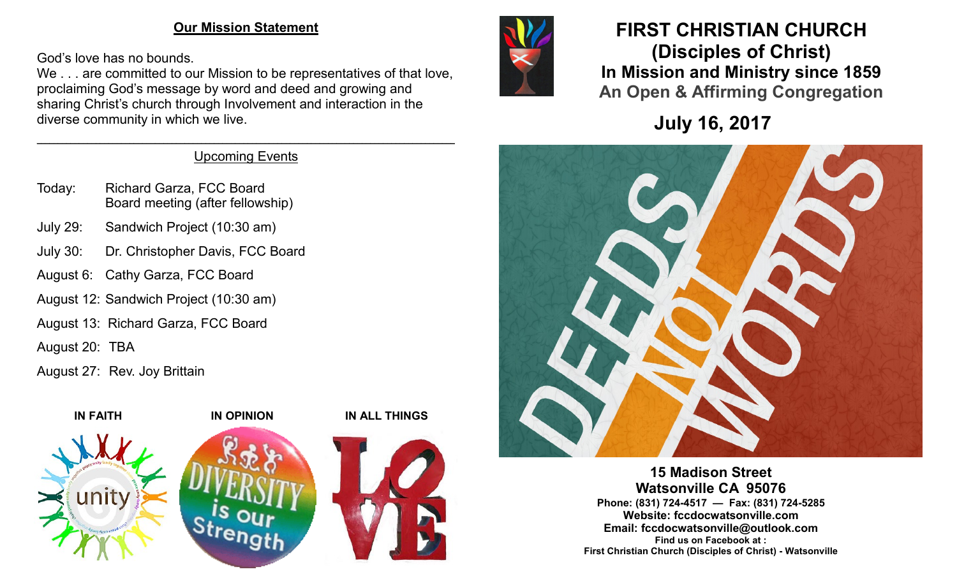### **Our Mission Statement**

God's love has no bounds.

We . . . are committed to our Mission to be representatives of that love, proclaiming God's message by word and deed and growing and sharing Christ's church through Involvement and interaction in the diverse community in which we live.

### $\mathcal{L}_\mathcal{L} = \mathcal{L}_\mathcal{L} = \mathcal{L}_\mathcal{L} = \mathcal{L}_\mathcal{L} = \mathcal{L}_\mathcal{L} = \mathcal{L}_\mathcal{L} = \mathcal{L}_\mathcal{L} = \mathcal{L}_\mathcal{L} = \mathcal{L}_\mathcal{L} = \mathcal{L}_\mathcal{L} = \mathcal{L}_\mathcal{L} = \mathcal{L}_\mathcal{L} = \mathcal{L}_\mathcal{L} = \mathcal{L}_\mathcal{L} = \mathcal{L}_\mathcal{L} = \mathcal{L}_\mathcal{L} = \mathcal{L}_\mathcal{L}$ Upcoming Events

- Today: Richard Garza, FCC Board Board meeting (after fellowship)
- July 29: Sandwich Project (10:30 am)
- July 30: Dr. Christopher Davis, FCC Board
- August 6: Cathy Garza, FCC Board
- August 12: Sandwich Project (10:30 am)
- August 13: Richard Garza, FCC Board
- August 20: TBA
- August 27: Rev. Joy Brittain





# **FIRST CHRISTIAN CHURCH (Disciples of Christ) In Mission and Ministry since 1859 An Open & Affirming Congregation**

**July 16, 2017**



**15 Madison Street Watsonville CA 95076 Phone: (831) 724-4517 — Fax: (831) 724-5285 Website: fccdocwatsonville.com Email: fccdocwatsonville@outlook.com Find us on Facebook at : First Christian Church (Disciples of Christ) - Watsonville**